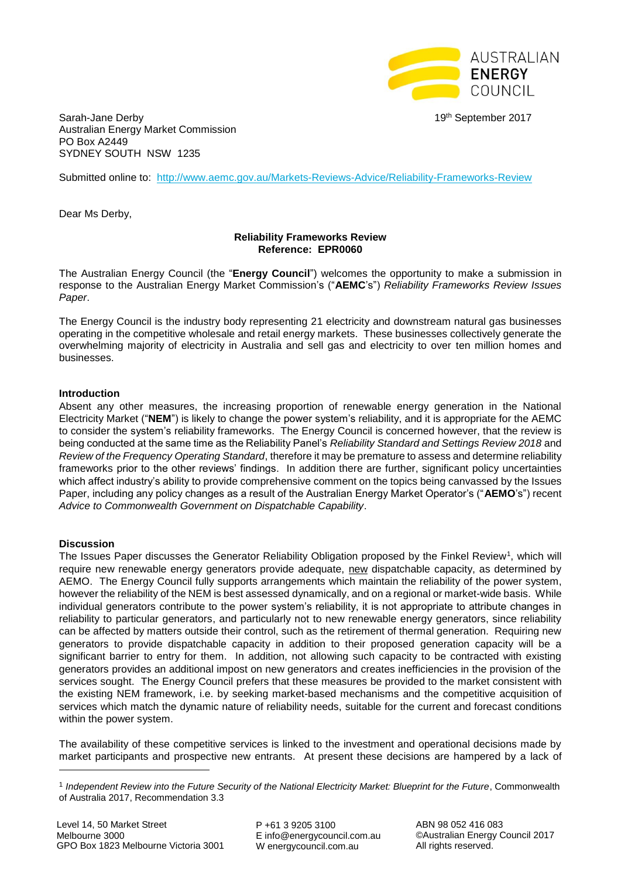

Sarah-Jane Derby 19th September 2017 Australian Energy Market Commission PO Box A2449 SYDNEY SOUTH NSW 1235

Submitted online to: <http://www.aemc.gov.au/Markets-Reviews-Advice/Reliability-Frameworks-Review>

Dear Ms Derby,

## **Reliability Frameworks Review Reference: EPR0060**

The Australian Energy Council (the "**Energy Council**") welcomes the opportunity to make a submission in response to the Australian Energy Market Commission's ("**AEMC**'s") *Reliability Frameworks Review Issues Paper*.

The Energy Council is the industry body representing 21 electricity and downstream natural gas businesses operating in the competitive wholesale and retail energy markets. These businesses collectively generate the overwhelming majority of electricity in Australia and sell gas and electricity to over ten million homes and businesses.

## **Introduction**

Absent any other measures, the increasing proportion of renewable energy generation in the National Electricity Market ("**NEM**") is likely to change the power system's reliability, and it is appropriate for the AEMC to consider the system's reliability frameworks. The Energy Council is concerned however, that the review is being conducted at the same time as the Reliability Panel's *Reliability Standard and Settings Review 2018* and *Review of the Frequency Operating Standard*, therefore it may be premature to assess and determine reliability frameworks prior to the other reviews' findings. In addition there are further, significant policy uncertainties which affect industry's ability to provide comprehensive comment on the topics being canvassed by the Issues Paper, including any policy changes as a result of the Australian Energy Market Operator's ("**AEMO**'s") recent *Advice to Commonwealth Government on Dispatchable Capability*.

## **Discussion**

-

The Issues Paper discusses the Generator Reliability Obligation proposed by the Finkel Review<sup>1</sup>, which will require new renewable energy generators provide adequate, new dispatchable capacity, as determined by AEMO. The Energy Council fully supports arrangements which maintain the reliability of the power system, however the reliability of the NEM is best assessed dynamically, and on a regional or market-wide basis. While individual generators contribute to the power system's reliability, it is not appropriate to attribute changes in reliability to particular generators, and particularly not to new renewable energy generators, since reliability can be affected by matters outside their control, such as the retirement of thermal generation. Requiring new generators to provide dispatchable capacity in addition to their proposed generation capacity will be a significant barrier to entry for them. In addition, not allowing such capacity to be contracted with existing generators provides an additional impost on new generators and creates inefficiencies in the provision of the services sought. The Energy Council prefers that these measures be provided to the market consistent with the existing NEM framework, i.e. by seeking market-based mechanisms and the competitive acquisition of services which match the dynamic nature of reliability needs, suitable for the current and forecast conditions within the power system.

The availability of these competitive services is linked to the investment and operational decisions made by market participants and prospective new entrants. At present these decisions are hampered by a lack of

P +61 3 9205 3100 E info@energycouncil.com.au W energycouncil.com.au

ABN 98 052 416 083 ©Australian Energy Council 2017 All rights reserved.

<sup>1</sup> *Independent Review into the Future Security of the National Electricity Market: Blueprint for the Future*, Commonwealth of Australia 2017, Recommendation 3.3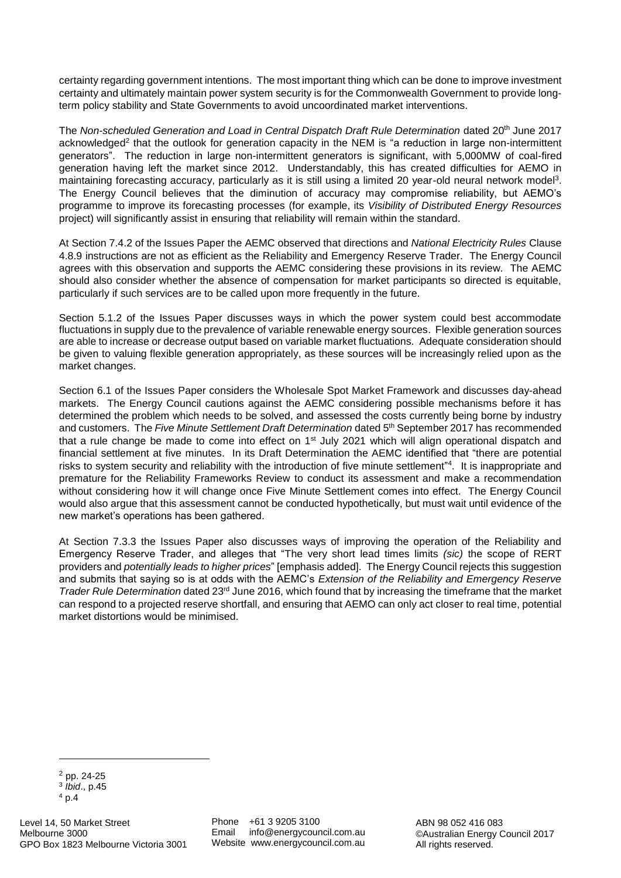certainty regarding government intentions. The most important thing which can be done to improve investment certainty and ultimately maintain power system security is for the Commonwealth Government to provide longterm policy stability and State Governments to avoid uncoordinated market interventions.

The *Non-scheduled Generation and Load in Central Dispatch Draft Rule Determination* dated 20th June 2017 acknowledged<sup>2</sup> that the outlook for generation capacity in the NEM is "a reduction in large non-intermittent generators". The reduction in large non-intermittent generators is significant, with 5,000MW of coal-fired generation having left the market since 2012. Understandably, this has created difficulties for AEMO in maintaining forecasting accuracy, particularly as it is still using a limited 20 year-old neural network model<sup>3</sup>. The Energy Council believes that the diminution of accuracy may compromise reliability, but AEMO's programme to improve its forecasting processes (for example, its *Visibility of Distributed Energy Resources* project) will significantly assist in ensuring that reliability will remain within the standard.

At Section 7.4.2 of the Issues Paper the AEMC observed that directions and *National Electricity Rules* Clause 4.8.9 instructions are not as efficient as the Reliability and Emergency Reserve Trader. The Energy Council agrees with this observation and supports the AEMC considering these provisions in its review. The AEMC should also consider whether the absence of compensation for market participants so directed is equitable, particularly if such services are to be called upon more frequently in the future.

Section 5.1.2 of the Issues Paper discusses ways in which the power system could best accommodate fluctuations in supply due to the prevalence of variable renewable energy sources. Flexible generation sources are able to increase or decrease output based on variable market fluctuations. Adequate consideration should be given to valuing flexible generation appropriately, as these sources will be increasingly relied upon as the market changes.

Section 6.1 of the Issues Paper considers the Wholesale Spot Market Framework and discusses day-ahead markets. The Energy Council cautions against the AEMC considering possible mechanisms before it has determined the problem which needs to be solved, and assessed the costs currently being borne by industry and customers. The *Five Minute Settlement Draft Determination* dated 5th September 2017 has recommended that a rule change be made to come into effect on 1<sup>st</sup> July 2021 which will align operational dispatch and financial settlement at five minutes. In its Draft Determination the AEMC identified that "there are potential risks to system security and reliability with the introduction of five minute settlement"<sup>4</sup>. It is inappropriate and premature for the Reliability Frameworks Review to conduct its assessment and make a recommendation without considering how it will change once Five Minute Settlement comes into effect. The Energy Council would also argue that this assessment cannot be conducted hypothetically, but must wait until evidence of the new market's operations has been gathered.

At Section 7.3.3 the Issues Paper also discusses ways of improving the operation of the Reliability and Emergency Reserve Trader, and alleges that "The very short lead times limits *(sic)* the scope of RERT providers and *potentially leads to higher prices*" [emphasis added]. The Energy Council rejects this suggestion and submits that saying so is at odds with the AEMC's *Extension of the Reliability and Emergency Reserve Trader Rule Determination* dated 23rd June 2016, which found that by increasing the timeframe that the market can respond to a projected reserve shortfall, and ensuring that AEMO can only act closer to real time, potential market distortions would be minimised.

 $\overline{a}$ 

<sup>2</sup> pp. 24-25

<sup>3</sup> *Ibid*., p.45  $4$  p.4